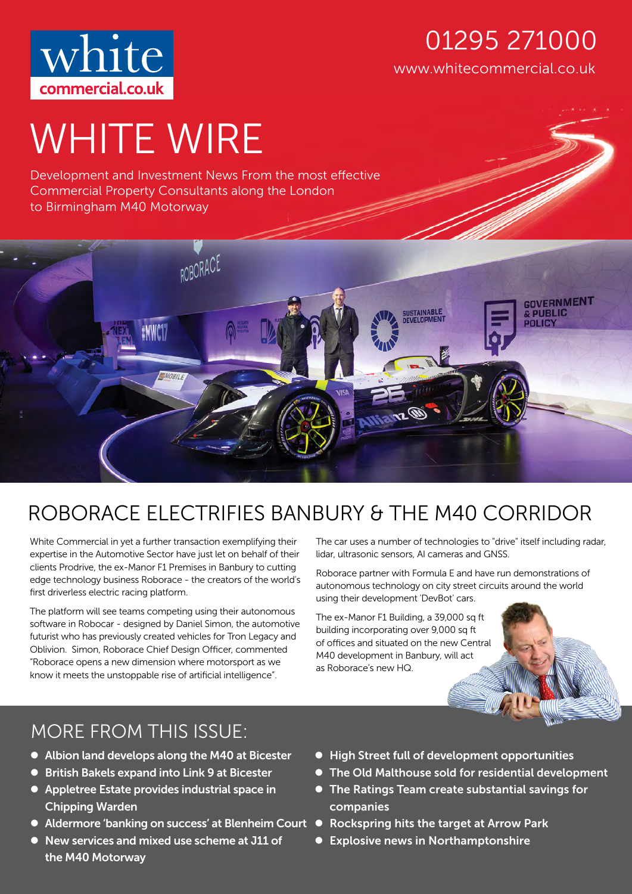

## www.whitecommercial.co.uk 01295 271000

# WHITE WIRE

Development and Investment News From the most effective Commercial Property Consultants along the London to Birmingham M40 Motorway



## ROBORACE ELECTRIFIES BANBURY & THE M40 CORRIDOR

White Commercial in yet a further transaction exemplifying their expertise in the Automotive Sector have just let on behalf of their clients Prodrive, the ex-Manor F1 Premises in Banbury to cutting edge technology business Roborace - the creators of the world's first driverless electric racing platform.

The platform will see teams competing using their autonomous software in Robocar - designed by Daniel Simon, the automotive futurist who has previously created vehicles for Tron Legacy and Oblivion. Simon, Roborace Chief Design Officer, commented "Roborace opens a new dimension where motorsport as we know it meets the unstoppable rise of artificial intelligence".

The car uses a number of technologies to "drive" itself including radar, lidar, ultrasonic sensors, AI cameras and GNSS.

Roborace partner with Formula E and have run demonstrations of autonomous technology on city street circuits around the world using their development 'DevBot' cars.

The ex-Manor F1 Building, a 39,000 sq ft building incorporating over 9,000 sq ft of offices and situated on the new Central M40 development in Banbury, will act as Roborace's new HQ.



## MORE FROM THIS ISSUE:

- Albion land develops along the M40 at Bicester
- British Bakels expand into Link 9 at Bicester
- Appletree Estate provides industrial space in Chipping Warden
- Aldermore 'banking on success' at Blenheim Court Rockspring hits the target at Arrow Park
- New services and mixed use scheme at J11 of the M40 Motorway
- High Street full of development opportunities
- The Old Malthouse sold for residential development
- The Ratings Team create substantial savings for companies
- 
- Explosive news in Northamptonshire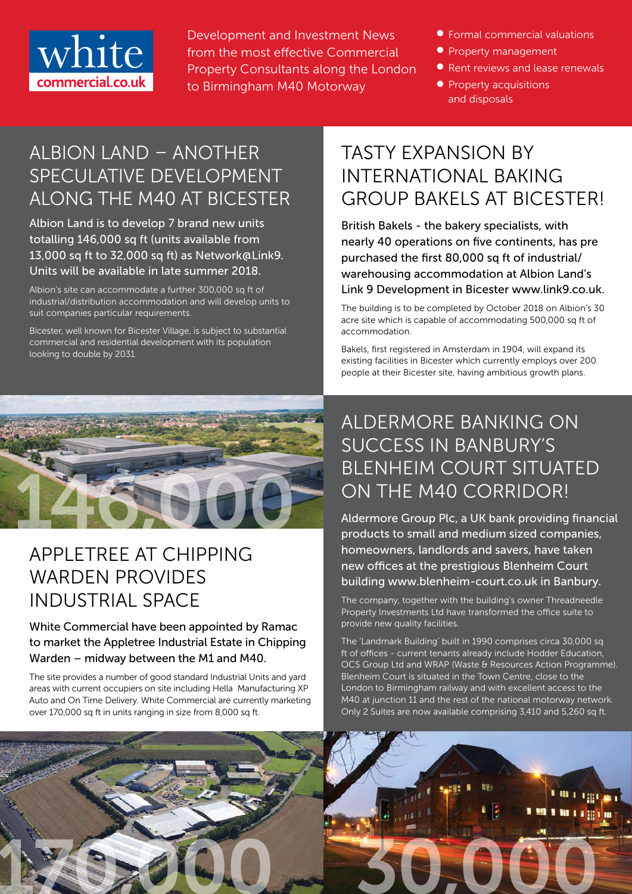

Development and Investment News from the most effective Commercial Property Consultants along the London to Birmingham M40 Motorway

- Formal commercial valuations
- **Property management**
- Rent reviews and lease renewals
- **•** Property acquisitions and disposals

## ALBION LAND – ANOTHER SPECULATIVE DEVELOPMENT ALONG THE M40 AT BICESTER

Albion Land is to develop 7 brand new units totalling 146,000 sq ft (units available from 13,000 sq ft to 32,000 sq ft) as Network@Link9. Units will be available in late summer 2018.

Albion's site can accommodate a further 300,000 sq ft of industrial/distribution accommodation and will develop units to suit companies particular requirements.

Bicester, well known for Bicester Village, is subject to substantial commercial and residential development with its population looking to double by 2031.



## APPLETREE AT CHIPPING WARDEN PROVIDES INDUSTRIAL SPACE

White Commercial have been appointed by Ramac to market the Appletree Industrial Estate in Chipping Warden – midway between the M1 and M40.

The site provides a number of good standard Industrial Units and yard areas with current occupiers on site including Hella Manufacturing XP Auto and On Time Delivery. White Commercial are currently marketing over 170,000 sq ft in units ranging in size from 8,000 sq ft.

## TASTY EXPANSION BY INTERNATIONAL BAKING GROUP BAKELS AT BICESTER!

British Bakels - the bakery specialists, with nearly 40 operations on five continents, has pre purchased the first 80,000 sq ft of industrial/ warehousing accommodation at Albion Land's Link 9 Development in Bicester www.link9.co.uk.

The building is to be completed by October 2018 on Albion's 30 acre site which is capable of accommodating 500,000 sq ft of accommodation.

Bakels, first registered in Amsterdam in 1904, will expand its existing facilities in Bicester which currently employs over 200 people at their Bicester site, having ambitious growth plans.

## ALDERMORE BANKING ON SUCCESS IN BANBURY'S BLENHEIM COURT SITUATED ON THE M40 CORRIDOR!

Aldermore Group Plc, a UK bank providing financial products to small and medium sized companies, homeowners, landlords and savers, have taken new offices at the prestigious Blenheim Court building www.blenheim-court.co.uk in Banbury.

The company, together with the building's owner Threadneedle Property Investments Ltd have transformed the office suite to provide new quality facilities.

The 'Landmark Building' built in 1990 comprises circa 30,000 sq ft of offices - current tenants already include Hodder Education, OCS Group Ltd and WRAP (Waste & Resources Action Programme). Blenheim Court is situated in the Town Centre, close to the London to Birmingham railway and with excellent access to the M40 at junction 11 and the rest of the national motorway network. Only 2 Suites are now available comprising 3,410 and 5,260 sq ft.

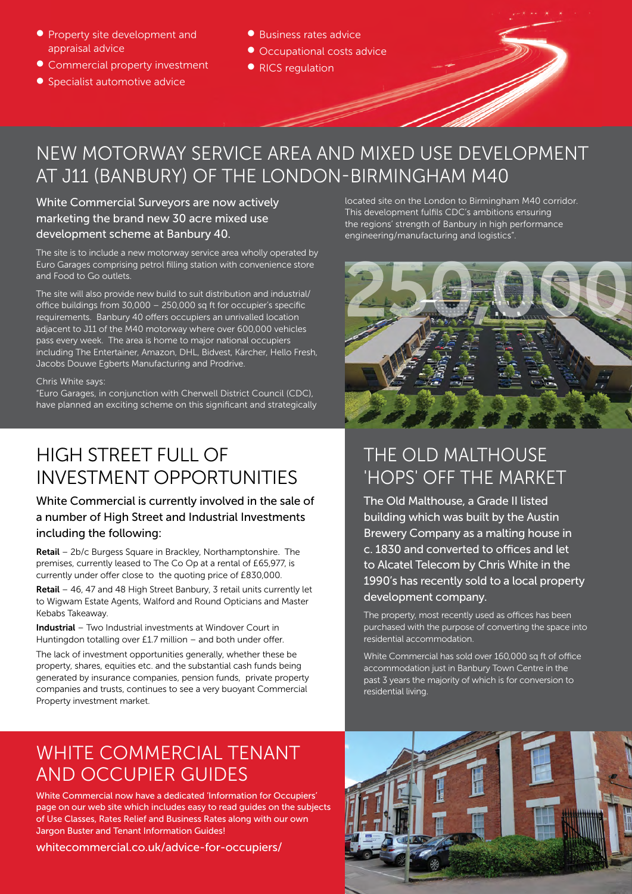- **Property site development and** appraisal advice
- Commercial property investment
- **•** Specialist automotive advice
- Business rates advice
- Occupational costs advice
- RICS regulation

## NEW MOTORWAY SERVICE AREA AND MIXED USE DEVELOPMENT AT J11 (BANBURY) OF THE LONDON-BIRMINGHAM M40

White Commercial Surveyors are now actively marketing the brand new 30 acre mixed use development scheme at Banbury 40.

The site is to include a new motorway service area wholly operated by Euro Garages comprising petrol filling station with convenience store and Food to Go outlets.

The site will also provide new build to suit distribution and industrial/ office buildings from 30,000 – 250,000 sq ft for occupier's specific requirements. Banbury 40 offers occupiers an unrivalled location adjacent to J11 of the M40 motorway where over 600,000 vehicles pass every week. The area is home to major national occupiers including The Entertainer, Amazon, DHL, Bidvest, Kärcher, Hello Fresh, Jacobs Douwe Egberts Manufacturing and Prodrive.

#### Chris White says:

"Euro Garages, in conjunction with Cherwell District Council (CDC), have planned an exciting scheme on this significant and strategically

#### HIGH STREET FULL OF INVESTMENT OPPORTUNITIES

#### White Commercial is currently involved in the sale of a number of High Street and Industrial Investments including the following:

Retail – 2b/c Burgess Square in Brackley, Northamptonshire. The premises, currently leased to The Co Op at a rental of £65,977, is currently under offer close to the quoting price of £830,000.

Retail – 46, 47 and 48 High Street Banbury, 3 retail units currently let to Wigwam Estate Agents, Walford and Round Opticians and Master Kebabs Takeaway.

Industrial – Two Industrial investments at Windover Court in Huntingdon totalling over £1.7 million – and both under offer.

The lack of investment opportunities generally, whether these be property, shares, equities etc. and the substantial cash funds being generated by insurance companies, pension funds, private property companies and trusts, continues to see a very buoyant Commercial Property investment market.

located site on the London to Birmingham M40 corridor. This development fulfils CDC's ambitions ensuring the regions' strength of Banbury in high performance engineering/manufacturing and logistics".



## THE OLD MALTHOUSE 'HOPS' OFF THE MARKET

The Old Malthouse, a Grade II listed building which was built by the Austin Brewery Company as a malting house in c. 1830 and converted to offices and let to Alcatel Telecom by Chris White in the 1990's has recently sold to a local property development company.

The property, most recently used as offices has been purchased with the purpose of converting the space into residential accommodation.

White Commercial has sold over 160,000 sq ft of office accommodation just in Banbury Town Centre in the past 3 years the majority of which is for conversion to residential living.

#### WHITE COMMERCIAL TENANT AND OCCUPIER GUIDES

White Commercial now have a dedicated 'Information for Occupiers' page on our web site which includes easy to read guides on the subjects of Use Classes, Rates Relief and Business Rates along with our own Jargon Buster and Tenant Information Guides!

whitecommercial.co.uk/advice-for-occupiers/